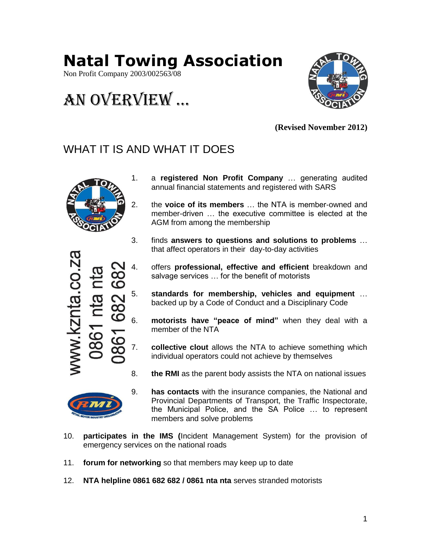# **Natal Towing Association**

Non Profit Company 2003/002563/08

# An overview …



**(Revised November 2012)**

### WHAT IT IS AND WHAT IT DOES



- 1. a **registered Non Profit Company** … generating audited annual financial statements and registered with SARS
- 2. the **voice of its members** … the NTA is member-owned and member-driven … the executive committee is elected at the AGM from among the membership
- 3. finds **answers to questions and solutions to problems** … that affect operators in their day-to-day activities
- 4. offers **professional, effective and efficient** breakdown and salvage services … for the benefit of motorists
- 5. **standards for membership, vehicles and equipment** … backed up by a Code of Conduct and a Disciplinary Code
- 6. **motorists have "peace of mind"** when they deal with a member of the NTA
- 7. **collective clout** allows the NTA to achieve something which individual operators could not achieve by themselves
- 8. **the RMI** as the parent body assists the NTA on national issues



- 9. **has contacts** with the insurance companies, the National and Provincial Departments of Transport, the Traffic Inspectorate, the Municipal Police, and the SA Police … to represent members and solve problems
- 10. **participates in the IMS (**Incident Management System) for the provision of emergency services on the national roads
- 11. **forum for networking** so that members may keep up to date
- 12. **NTA helpline 0861 682 682 / 0861 nta nta** serves stranded motorists

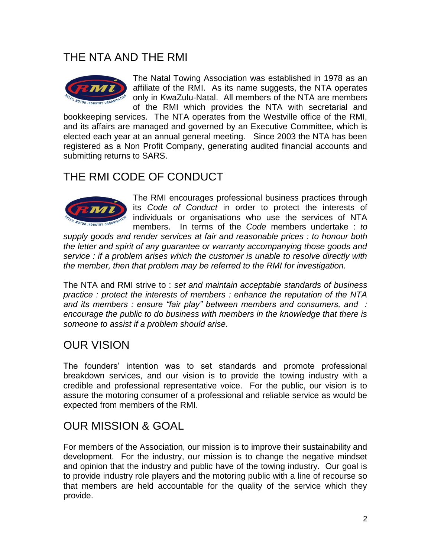### THE NTA AND THE RMI



The Natal Towing Association was established in 1978 as an affiliate of the RMI. As its name suggests, the NTA operates only in KwaZulu-Natal. All members of the NTA are members of the RMI which provides the NTA with secretarial and

bookkeeping services. The NTA operates from the Westville office of the RMI, and its affairs are managed and governed by an Executive Committee, which is elected each year at an annual general meeting. Since 2003 the NTA has been registered as a Non Profit Company, generating audited financial accounts and submitting returns to SARS.

### THE RMI CODE OF CONDUCT



The RMI encourages professional business practices through its *Code of Conduct* in order to protect the interests of individuals or organisations who use the services of NTA members. In terms of the *Code* members undertake : *to* 

*supply goods and render services at fair and reasonable prices : to honour both the letter and spirit of any guarantee or warranty accompanying those goods and service : if a problem arises which the customer is unable to resolve directly with the member, then that problem may be referred to the RMI for investigation.*

The NTA and RMI strive to : *set and maintain acceptable standards of business practice : protect the interests of members : enhance the reputation of the NTA and its members : ensure "fair play" between members and consumers, and : encourage the public to do business with members in the knowledge that there is someone to assist if a problem should arise.*

## OUR VISION

The founders' intention was to set standards and promote professional breakdown services, and our vision is to provide the towing industry with a credible and professional representative voice. For the public, our vision is to assure the motoring consumer of a professional and reliable service as would be expected from members of the RMI.

### OUR MISSION & GOAL

For members of the Association, our mission is to improve their sustainability and development. For the industry, our mission is to change the negative mindset and opinion that the industry and public have of the towing industry. Our goal is to provide industry role players and the motoring public with a line of recourse so that members are held accountable for the quality of the service which they provide.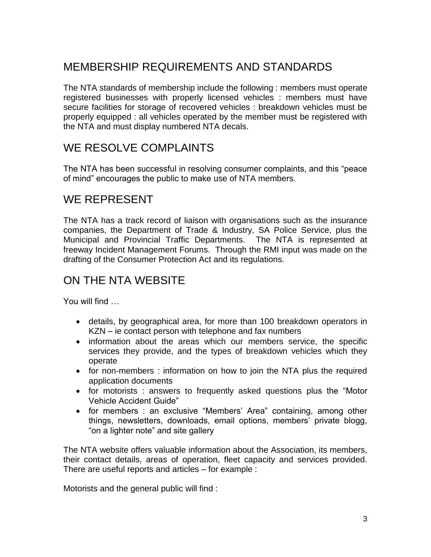## MEMBERSHIP REQUIREMENTS AND STANDARDS

The NTA standards of membership include the following : members must operate registered businesses with properly licensed vehicles : members must have secure facilities for storage of recovered vehicles : breakdown vehicles must be properly equipped : all vehicles operated by the member must be registered with the NTA and must display numbered NTA decals.

## WE RESOLVE COMPLAINTS

The NTA has been successful in resolving consumer complaints, and this "peace of mind" encourages the public to make use of NTA members.

### WE REPRESENT

The NTA has a track record of liaison with organisations such as the insurance companies, the Department of Trade & Industry, SA Police Service, plus the Municipal and Provincial Traffic Departments. The NTA is represented at freeway Incident Management Forums. Through the RMI input was made on the drafting of the Consumer Protection Act and its regulations.

### ON THE NTA WEBSITE

You will find …

- details, by geographical area, for more than 100 breakdown operators in KZN – ie contact person with telephone and fax numbers
- information about the areas which our members service, the specific services they provide, and the types of breakdown vehicles which they operate
- for non-members : information on how to join the NTA plus the required application documents
- for motorists : answers to frequently asked questions plus the "Motor Vehicle Accident Guide"
- for members : an exclusive "Members' Area" containing, among other things, newsletters, downloads, email options, members' private blogg, "on a lighter note" and site gallery

The NTA website offers valuable information about the Association, its members, their contact details, areas of operation, fleet capacity and services provided. There are useful reports and articles – for example :

Motorists and the general public will find :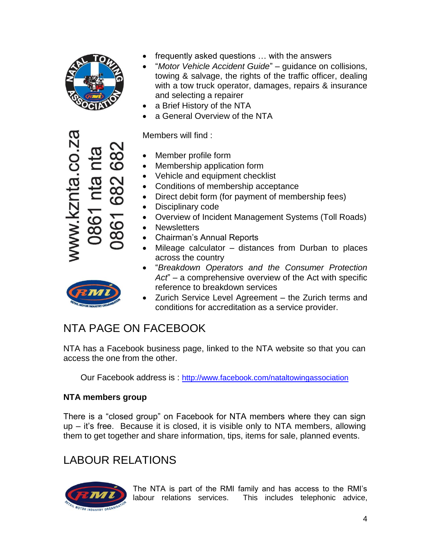

znta.co.za

- frequently asked questions … with the answers
- "*Motor Vehicle Accident Guide*" guidance on collisions, towing & salvage, the rights of the traffic officer, dealing with a tow truck operator, damages, repairs & insurance and selecting a repairer
- a Brief History of the NTA
- a General Overview of the NTA

Members will find :

- Member profile form
- Membership application form
- Vehicle and equipment checklist
- Conditions of membership acceptance
- Direct debit form (for payment of membership fees)
- Disciplinary code
- Overview of Incident Management Systems (Toll Roads)
- Newsletters
- Chairman's Annual Reports
- Mileage calculator distances from Durban to places across the country
- "*Breakdown Operators and the Consumer Protection Act*" – a comprehensive overview of the Act with specific reference to breakdown services
- Zurich Service Level Agreement the Zurich terms and conditions for accreditation as a service provider.

## NTA PAGE ON FACEBOOK

NTA has a Facebook business page, linked to the NTA website so that you can access the one from the other.

Our Facebook address is : <http://www.facebook.com/nataltowingassociation>

### **NTA members group**

There is a "closed group" on Facebook for NTA members where they can sign up – it's free. Because it is closed, it is visible only to NTA members, allowing them to get together and share information, tips, items for sale, planned events.

## LABOUR RELATIONS



The NTA is part of the RMI family and has access to the RMI's labour relations services. This includes telephonic advice,

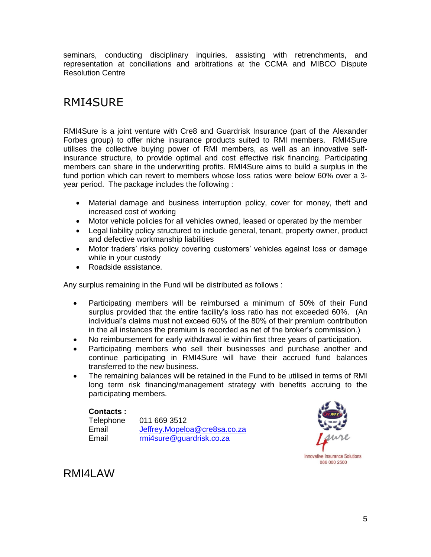seminars, conducting disciplinary inquiries, assisting with retrenchments, and representation at conciliations and arbitrations at the CCMA and MIBCO Dispute Resolution Centre

## RMI4SURE

RMI4Sure is a joint venture with Cre8 and Guardrisk Insurance (part of the Alexander Forbes group) to offer niche insurance products suited to RMI members. RMI4Sure utilises the collective buying power of RMI members, as well as an innovative selfinsurance structure, to provide optimal and cost effective risk financing. Participating members can share in the underwriting profits. RMI4Sure aims to build a surplus in the fund portion which can revert to members whose loss ratios were below 60% over a 3 year period. The package includes the following :

- Material damage and business interruption policy, cover for money, theft and increased cost of working
- Motor vehicle policies for all vehicles owned, leased or operated by the member
- Legal liability policy structured to include general, tenant, property owner, product and defective workmanship liabilities
- Motor traders' risks policy covering customers' vehicles against loss or damage while in your custody
- Roadside assistance.

Any surplus remaining in the Fund will be distributed as follows :

- Participating members will be reimbursed a minimum of 50% of their Fund surplus provided that the entire facility's loss ratio has not exceeded 60%. (An individual's claims must not exceed 60% of the 80% of their premium contribution in the all instances the premium is recorded as net of the broker's commission.)
- No reimbursement for early withdrawal ie within first three years of participation.
- Participating members who sell their businesses and purchase another and continue participating in RMI4Sure will have their accrued fund balances transferred to the new business.
- The remaining balances will be retained in the Fund to be utilised in terms of RMI long term risk financing/management strategy with benefits accruing to the participating members.

### **Contacts :**

| Telephone | 011 669 3512                 |
|-----------|------------------------------|
| Email     | Jeffrey.Mopeloa@cre8sa.co.za |
| Email     | rmi4sure@guardrisk.co.za     |



### RMI4I AW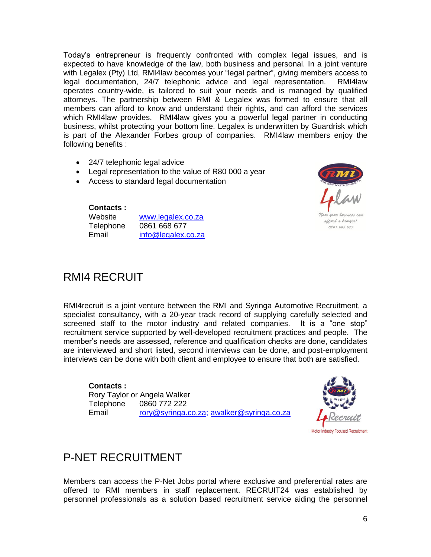Today's entrepreneur is frequently confronted with complex legal issues, and is expected to have knowledge of the law, both business and personal. In a joint venture with Legalex (Pty) Ltd, RMI4law becomes your "legal partner", giving members access to legal documentation, 24/7 telephonic advice and legal representation. RMI4law operates country-wide, is tailored to suit your needs and is managed by qualified attorneys. The partnership between RMI & Legalex was formed to ensure that all members can afford to know and understand their rights, and can afford the services which RMI4law provides. RMI4law gives you a powerful legal partner in conducting business, whilst protecting your bottom line. Legalex is underwritten by Guardrisk which is part of the Alexander Forbes group of companies. RMI4law members enjoy the following benefits :

- 24/7 telephonic legal advice
- Legal representation to the value of R80 000 a year
- Access to standard legal documentation

allord a lawyer! 0861 668 677

### **Contacts :**

| www.legalex.co.za  |
|--------------------|
| 0861 668 677       |
| info@legalex.co.za |
|                    |

### RMI4 RECRUIT

RMI4recruit is a joint venture between the RMI and Syringa Automotive Recruitment, a specialist consultancy, with a 20-year track record of supplying carefully selected and screened staff to the motor industry and related companies. It is a "one stop" recruitment service supported by well-developed recruitment practices and people. The member's needs are assessed, reference and qualification checks are done, candidates are interviewed and short listed, second interviews can be done, and post-employment interviews can be done with both client and employee to ensure that both are satisfied.

### **Contacts :**

Rory Taylor or Angela Walker Telephone 0860 772 222 Email [rory@syringa.co.za;](mailto:rory@syringa.co.za) [awalker@syringa.co.za](mailto:awalker@syringa.co.za)



## P-NET RECRUITMENT

Members can access the P-Net Jobs portal where exclusive and preferential rates are offered to RMI members in staff replacement. RECRUIT24 was established by personnel professionals as a solution based recruitment service aiding the personnel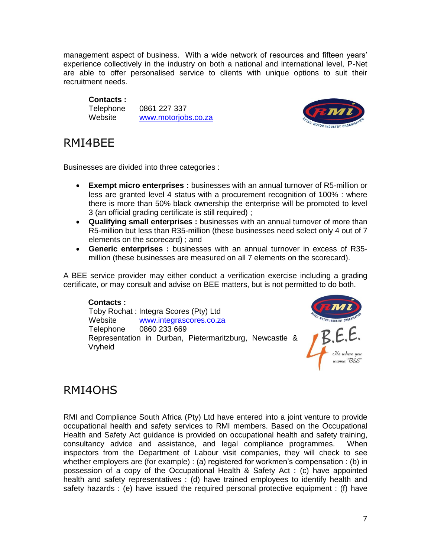management aspect of business. With a wide network of resources and fifteen years' experience collectively in the industry on both a national and international level, P-Net are able to offer personalised service to clients with unique options to suit their recruitment needs.

### **Contacts :**

Telephone 0861 227 337 Website [www.motorjobs.co.za](http://www.motorjobs.co.za/)



## RMI4BEE

Businesses are divided into three categories :

- **Exempt micro enterprises :** businesses with an annual turnover of R5-million or less are granted level 4 status with a procurement recognition of 100% : where there is more than 50% black ownership the enterprise will be promoted to level 3 (an official grading certificate is still required) ;
- **Qualifying small enterprises :** businesses with an annual turnover of more than R5-million but less than R35-million (these businesses need select only 4 out of 7 elements on the scorecard) ; and
- **Generic enterprises :** businesses with an annual turnover in excess of R35 million (these businesses are measured on all 7 elements on the scorecard).

A BEE service provider may either conduct a verification exercise including a grading certificate, or may consult and advise on BEE matters, but is not permitted to do both.

### **Contacts :**

Toby Rochat : Integra Scores (Pty) Ltd Website [www.integrascores.co.za](http://www.integrascores.co.za/) Telephone 0860 233 669 Representation in Durban, Pietermaritzburg, Newcastle & Vryheid



## RMI4OHS

RMI and Compliance South Africa (Pty) Ltd have entered into a joint venture to provide occupational health and safety services to RMI members. Based on the Occupational Health and Safety Act guidance is provided on occupational health and safety training, consultancy advice and assistance, and legal compliance programmes. When inspectors from the Department of Labour visit companies, they will check to see whether employers are (for example) : (a) registered for workmen's compensation : (b) in possession of a copy of the Occupational Health & Safety Act : (c) have appointed health and safety representatives : (d) have trained employees to identify health and safety hazards : (e) have issued the required personal protective equipment : (f) have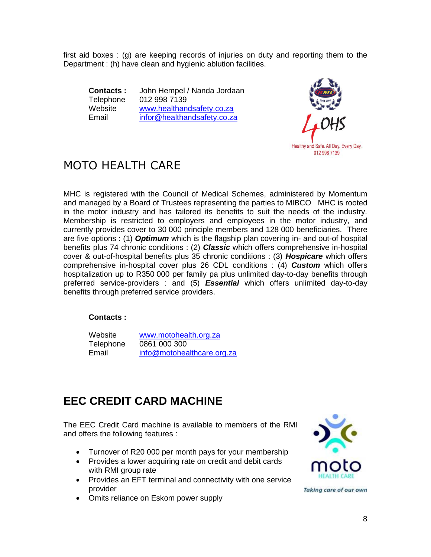first aid boxes : (g) are keeping records of injuries on duty and reporting them to the Department : (h) have clean and hygienic ablution facilities.

**Contacts :** John Hempel / Nanda Jordaan Telephone 012 998 7139 Website [www.healthandsafety.co.za](http://www.healthandsafety.co.za/) Email [infor@healthandsafety.co.za](mailto:infor@healthandsafety.co.za)



## MOTO HEALTH CARE

MHC is registered with the Council of Medical Schemes, administered by Momentum and managed by a Board of Trustees representing the parties to MIBCO MHC is rooted in the motor industry and has tailored its benefits to suit the needs of the industry. Membership is restricted to employers and employees in the motor industry, and currently provides cover to 30 000 principle members and 128 000 beneficiaries. There are five options : (1) *Optimum* which is the flagship plan covering in- and out-of hospital benefits plus 74 chronic conditions : (2) *Classic* which offers comprehensive in-hospital cover & out-of-hospital benefits plus 35 chronic conditions : (3) *Hospicare* which offers comprehensive in-hospital cover plus 26 CDL conditions : (4) *Custom* which offers hospitalization up to R350 000 per family pa plus unlimited day-to-day benefits through preferred service-providers : and (5) *Essential* which offers unlimited day-to-day benefits through preferred service providers.

### **Contacts :**

| Website   | www.motohealth.org.za      |
|-----------|----------------------------|
| Telephone | 0861 000 300               |
| Email     | info@motohealthcare.org.za |

## **EEC CREDIT CARD MACHINE**

The EEC Credit Card machine is available to members of the RMI and offers the following features :

- Turnover of R20 000 per month pays for your membership
- Provides a lower acquiring rate on credit and debit cards with RMI group rate
- Provides an EFT terminal and connectivity with one service provider
- Omits reliance on Eskom power supply



Taking care of our own